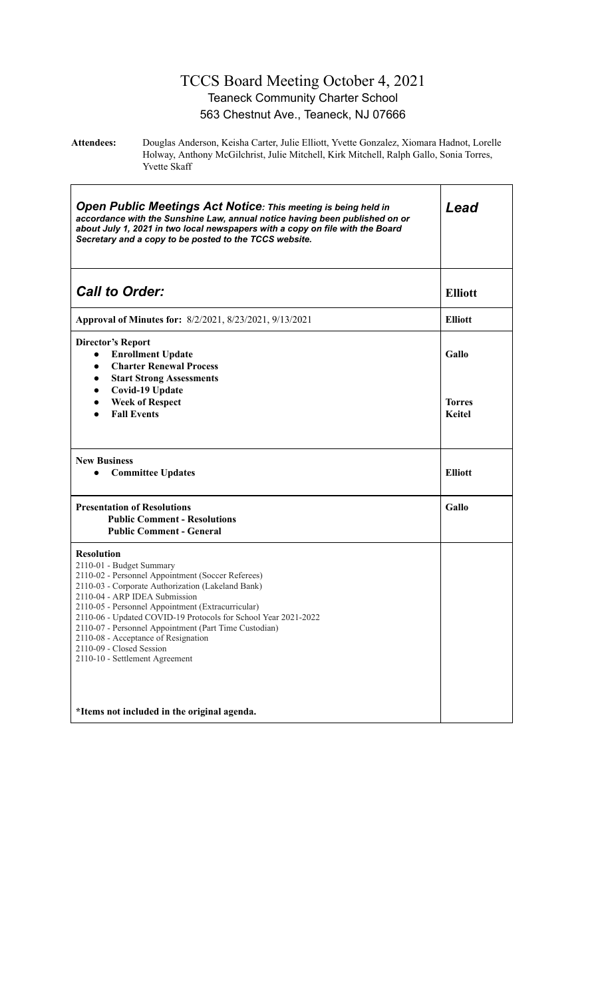#### TCCS Board Meeting October 4, 2021 Teaneck Community Charter School 563 Chestnut Ave., Teaneck, NJ 07666

**Attendees:** Douglas Anderson, Keisha Carter, Julie Elliott, Yvette Gonzalez, Xiomara Hadnot, Lorelle Holway, Anthony McGilchrist, Julie Mitchell, Kirk Mitchell, Ralph Gallo, Sonia Torres, Yvette Skaff

| <b>Open Public Meetings Act Notice: This meeting is being held in</b><br>accordance with the Sunshine Law, annual notice having been published on or<br>about July 1, 2021 in two local newspapers with a copy on file with the Board<br>Secretary and a copy to be posted to the TCCS website.                                                                                                                                                                               | Lead                             |
|-------------------------------------------------------------------------------------------------------------------------------------------------------------------------------------------------------------------------------------------------------------------------------------------------------------------------------------------------------------------------------------------------------------------------------------------------------------------------------|----------------------------------|
| <b>Call to Order:</b>                                                                                                                                                                                                                                                                                                                                                                                                                                                         | <b>Elliott</b>                   |
| Approval of Minutes for: 8/2/2021, 8/23/2021, 9/13/2021                                                                                                                                                                                                                                                                                                                                                                                                                       | <b>Elliott</b>                   |
| <b>Director's Report</b><br><b>Enrollment Update</b><br>$\bullet$<br><b>Charter Renewal Process</b><br>$\bullet$<br><b>Start Strong Assessments</b><br>Covid-19 Update<br>$\bullet$<br><b>Week of Respect</b><br>$\bullet$<br><b>Fall Events</b>                                                                                                                                                                                                                              | Gallo<br><b>Torres</b><br>Keitel |
| <b>New Business</b><br><b>Committee Updates</b>                                                                                                                                                                                                                                                                                                                                                                                                                               | <b>Elliott</b>                   |
| <b>Presentation of Resolutions</b><br><b>Public Comment - Resolutions</b><br><b>Public Comment - General</b>                                                                                                                                                                                                                                                                                                                                                                  | Gallo                            |
| <b>Resolution</b><br>2110-01 - Budget Summary<br>2110-02 - Personnel Appointment (Soccer Referees)<br>2110-03 - Corporate Authorization (Lakeland Bank)<br>2110-04 - ARP IDEA Submission<br>2110-05 - Personnel Appointment (Extracurricular)<br>2110-06 - Updated COVID-19 Protocols for School Year 2021-2022<br>2110-07 - Personnel Appointment (Part Time Custodian)<br>2110-08 - Acceptance of Resignation<br>2110-09 - Closed Session<br>2110-10 - Settlement Agreement |                                  |
| *Items not included in the original agenda.                                                                                                                                                                                                                                                                                                                                                                                                                                   |                                  |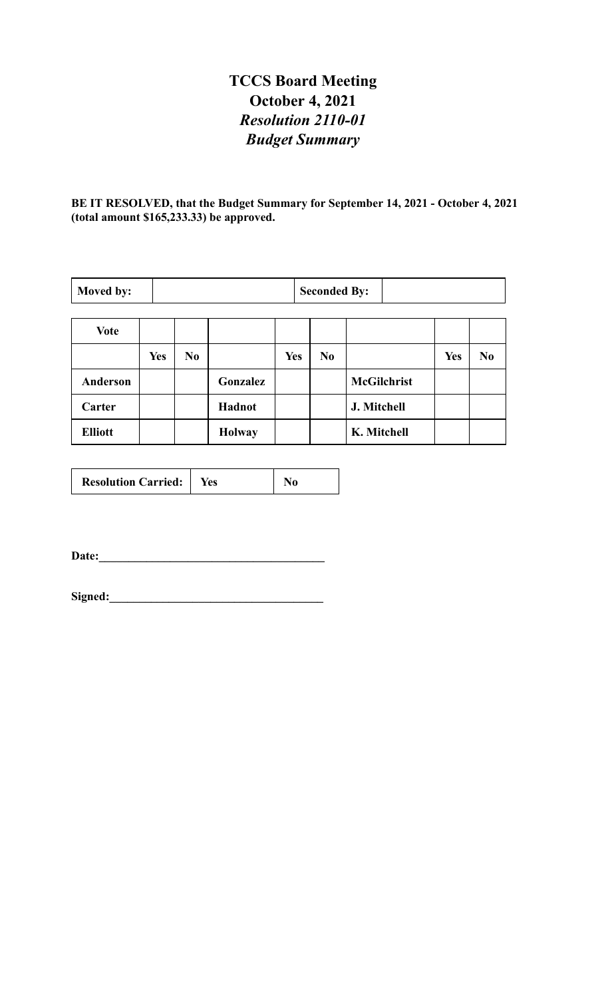# **TCCS Board Meeting October 4, 2021** *Resolution 2110-01 Budget Summary*

**BE IT RESOLVED, that the Budget Summary for September 14, 2021 - October 4, 2021 (total amount \$165,233.33) be approved.**

| Moved by:       |            | <b>Seconded By:</b> |               |            |                |                    |            |                |
|-----------------|------------|---------------------|---------------|------------|----------------|--------------------|------------|----------------|
| <b>Vote</b>     |            |                     |               |            |                |                    |            |                |
|                 | <b>Yes</b> | No                  |               | <b>Yes</b> | N <sub>0</sub> |                    | <b>Yes</b> | N <sub>0</sub> |
| <b>Anderson</b> |            |                     | Gonzalez      |            |                | <b>McGilchrist</b> |            |                |
| Carter          |            |                     | <b>Hadnot</b> |            |                | J. Mitchell        |            |                |
| <b>Elliott</b>  |            |                     | <b>Holway</b> |            |                | K. Mitchell        |            |                |

| <b>Resolution Carried:</b> | Yes |  |
|----------------------------|-----|--|
|----------------------------|-----|--|

**Date:\_\_\_\_\_\_\_\_\_\_\_\_\_\_\_\_\_\_\_\_\_\_\_\_\_\_\_\_\_\_\_\_\_\_\_\_\_\_**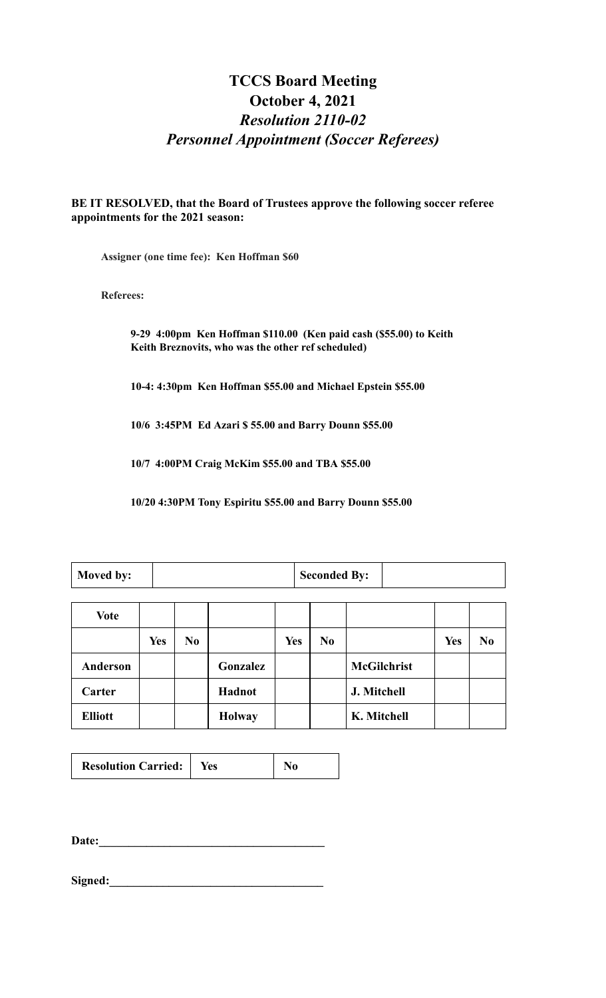# **TCCS Board Meeting October 4, 2021** *Resolution 2110-02 Personnel Appointment (Soccer Referees)*

**BE IT RESOLVED, that the Board of Trustees approve the following soccer referee appointments for the 2021 season:**

**Assigner (one time fee): Ken Hoffman \$60**

**Referees:**

**9-29 4:00pm Ken Hoffman \$110.00 (Ken paid cash (\$55.00) to Keith Keith Breznovits, who was the other ref scheduled)**

**10-4: 4:30pm Ken Hoffman \$55.00 and Michael Epstein \$55.00**

**10/6 3:45PM Ed Azari \$ 55.00 and Barry Dounn \$55.00**

**10/7 4:00PM Craig McKim \$55.00 and TBA \$55.00**

**10/20 4:30PM Tony Espiritu \$55.00 and Barry Dounn \$55.00**

| <b>Moved by:</b> |  |  | Seconded By: |  |  |
|------------------|--|--|--------------|--|--|
|                  |  |  |              |  |  |
|                  |  |  |              |  |  |

| <b>Vote</b>    |            |                |               |            |                |                    |            |                |
|----------------|------------|----------------|---------------|------------|----------------|--------------------|------------|----------------|
|                | <b>Yes</b> | N <sub>0</sub> |               | <b>Yes</b> | N <sub>0</sub> |                    | <b>Yes</b> | N <sub>0</sub> |
| Anderson       |            |                | Gonzalez      |            |                | <b>McGilchrist</b> |            |                |
| Carter         |            |                | Hadnot        |            |                | J. Mitchell        |            |                |
| <b>Elliott</b> |            |                | <b>Holway</b> |            |                | K. Mitchell        |            |                |

| <b>Resolution Carried:</b> | Yes | No |
|----------------------------|-----|----|
|----------------------------|-----|----|

**Date:\_\_\_\_\_\_\_\_\_\_\_\_\_\_\_\_\_\_\_\_\_\_\_\_\_\_\_\_\_\_\_\_\_\_\_\_\_\_**

Signed: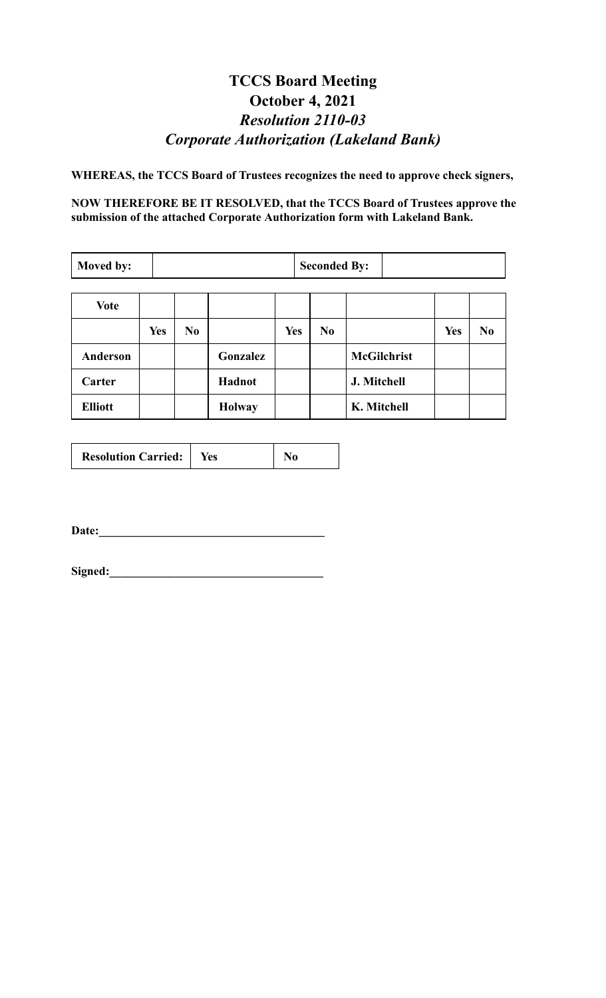# **TCCS Board Meeting October 4, 2021** *Resolution 2110-03 Corporate Authorization (Lakeland Bank)*

**WHEREAS, the TCCS Board of Trustees recognizes the need to approve check signers,**

**NOW THEREFORE BE IT RESOLVED, that the TCCS Board of Trustees approve the submission of the attached Corporate Authorization form with Lakeland Bank.**

| Moved by:       |            | <b>Seconded By:</b> |               |            |    |                    |            |                |
|-----------------|------------|---------------------|---------------|------------|----|--------------------|------------|----------------|
| <b>Vote</b>     |            |                     |               |            |    |                    |            |                |
|                 | <b>Yes</b> | N <sub>0</sub>      |               | <b>Yes</b> | No |                    | <b>Yes</b> | N <sub>0</sub> |
| <b>Anderson</b> |            |                     | Gonzalez      |            |    | <b>McGilchrist</b> |            |                |
| Carter          |            |                     | Hadnot        |            |    | J. Mitchell        |            |                |
| <b>Elliott</b>  |            |                     | <b>Holway</b> |            |    | K. Mitchell        |            |                |

|  | <b>Resolution Carried:</b> | Yes |  |
|--|----------------------------|-----|--|
|--|----------------------------|-----|--|

Date: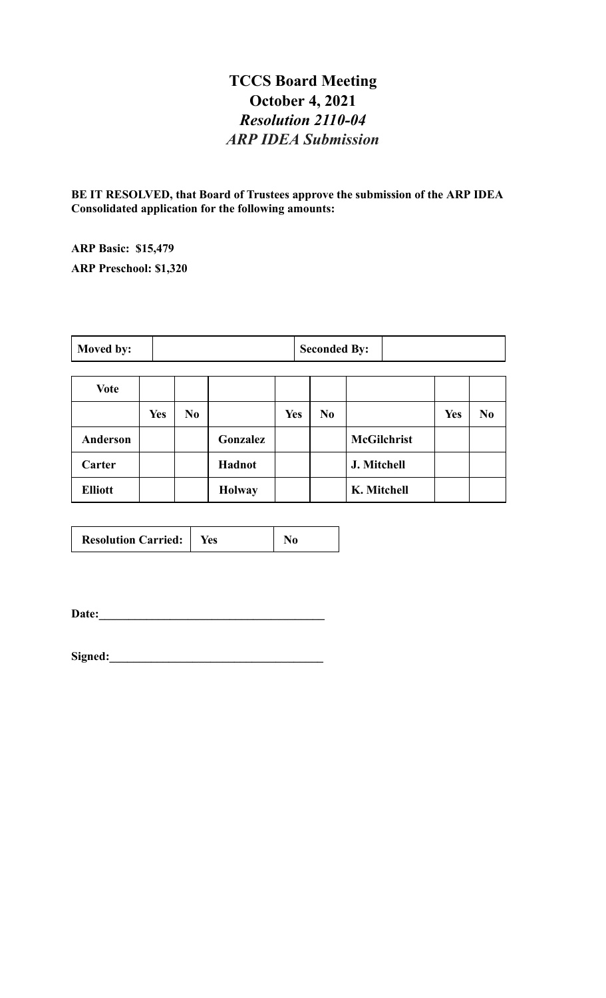#### **TCCS Board Meeting October 4, 2021** *Resolution 2110-04 ARP IDEA Submission*

**BE IT RESOLVED, that Board of Trustees approve the submission of the ARP IDEA Consolidated application for the following amounts:**

**ARP Basic: \$15,479 ARP Preschool: \$1,320**

| Moved by: | <b>Seconded By:</b> |  |
|-----------|---------------------|--|
|-----------|---------------------|--|

| Vote           |            |                |               |            |                |                    |            |                |
|----------------|------------|----------------|---------------|------------|----------------|--------------------|------------|----------------|
|                | <b>Yes</b> | N <sub>0</sub> |               | <b>Yes</b> | N <sub>0</sub> |                    | <b>Yes</b> | N <sub>0</sub> |
| Anderson       |            |                | Gonzalez      |            |                | <b>McGilchrist</b> |            |                |
| Carter         |            |                | Hadnot        |            |                | J. Mitchell        |            |                |
| <b>Elliott</b> |            |                | <b>Holway</b> |            |                | K. Mitchell        |            |                |

**Date:\_\_\_\_\_\_\_\_\_\_\_\_\_\_\_\_\_\_\_\_\_\_\_\_\_\_\_\_\_\_\_\_\_\_\_\_\_\_**

Signed: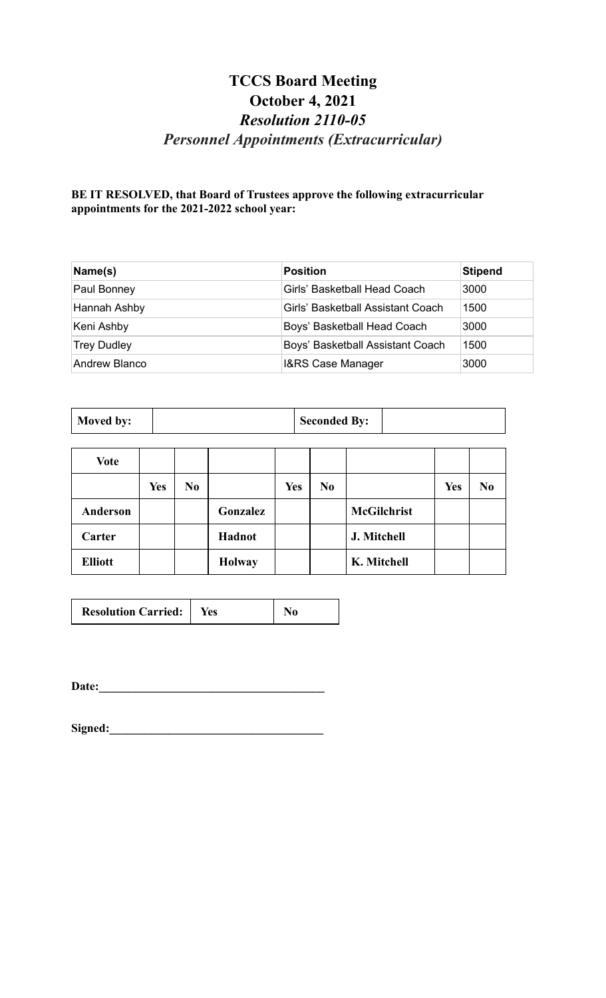# **TCCS Board Meeting October 4, 2021** *Resolution 2110-05 Personnel Appointments (Extracurricular)*

#### **BE IT RESOLVED, that Board of Trustees approve the following extracurricular appointments for the 2021-2022 school year:**

| Name(s)            | <b>Position</b>                   | <b>Stipend</b> |
|--------------------|-----------------------------------|----------------|
| Paul Bonney        | Girls' Basketball Head Coach      | 3000           |
| Hannah Ashby       | Girls' Basketball Assistant Coach | 1500           |
| Keni Ashby         | Boys' Basketball Head Coach       | 3000           |
| <b>Trey Dudley</b> | Boys' Basketball Assistant Coach  | 1500           |
| Andrew Blanco      | I&RS Case Manager                 | 3000           |

| Vote           |            |                |               |            |                |                    |            |                |
|----------------|------------|----------------|---------------|------------|----------------|--------------------|------------|----------------|
|                | <b>Yes</b> | N <sub>0</sub> |               | <b>Yes</b> | N <sub>0</sub> |                    | <b>Yes</b> | N <sub>0</sub> |
| Anderson       |            |                | Gonzalez      |            |                | <b>McGilchrist</b> |            |                |
| Carter         |            |                | Hadnot        |            |                | J. Mitchell        |            |                |
| <b>Elliott</b> |            |                | <b>Holway</b> |            |                | K. Mitchell        |            |                |

| <b>Resolution Carried:</b> | Yes |  |
|----------------------------|-----|--|
|----------------------------|-----|--|

**Date:\_\_\_\_\_\_\_\_\_\_\_\_\_\_\_\_\_\_\_\_\_\_\_\_\_\_\_\_\_\_\_\_\_\_\_\_\_\_**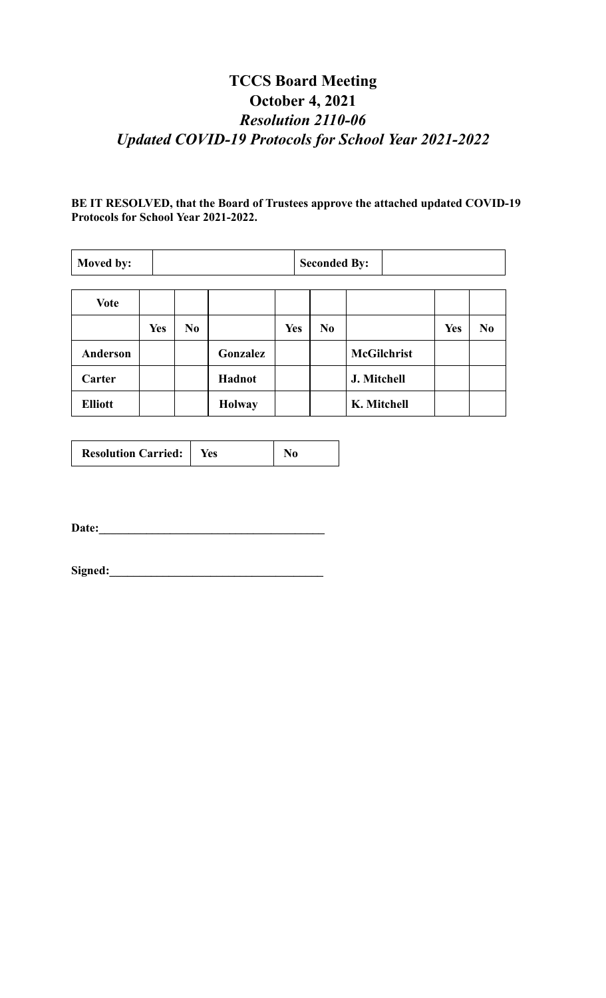# **TCCS Board Meeting October 4, 2021** *Resolution 2110-06 Updated COVID-19 Protocols for School Year 2021-2022*

#### **BE IT RESOLVED, that the Board of Trustees approve the attached updated COVID-19 Protocols for School Year 2021-2022.**

| Moved by:       |            | <b>Seconded By:</b> |               |            |                |                    |            |    |
|-----------------|------------|---------------------|---------------|------------|----------------|--------------------|------------|----|
|                 |            |                     |               |            |                |                    |            |    |
| <b>Vote</b>     |            |                     |               |            |                |                    |            |    |
|                 | <b>Yes</b> | N <sub>0</sub>      |               | <b>Yes</b> | N <sub>0</sub> |                    | <b>Yes</b> | No |
| <b>Anderson</b> |            |                     | Gonzalez      |            |                | <b>McGilchrist</b> |            |    |
| Carter          |            |                     | Hadnot        |            |                | J. Mitchell        |            |    |
| <b>Elliott</b>  |            |                     | <b>Holway</b> |            |                | K. Mitchell        |            |    |

| <b>Resolution Carried:</b> | res |  |
|----------------------------|-----|--|
|                            |     |  |

Date: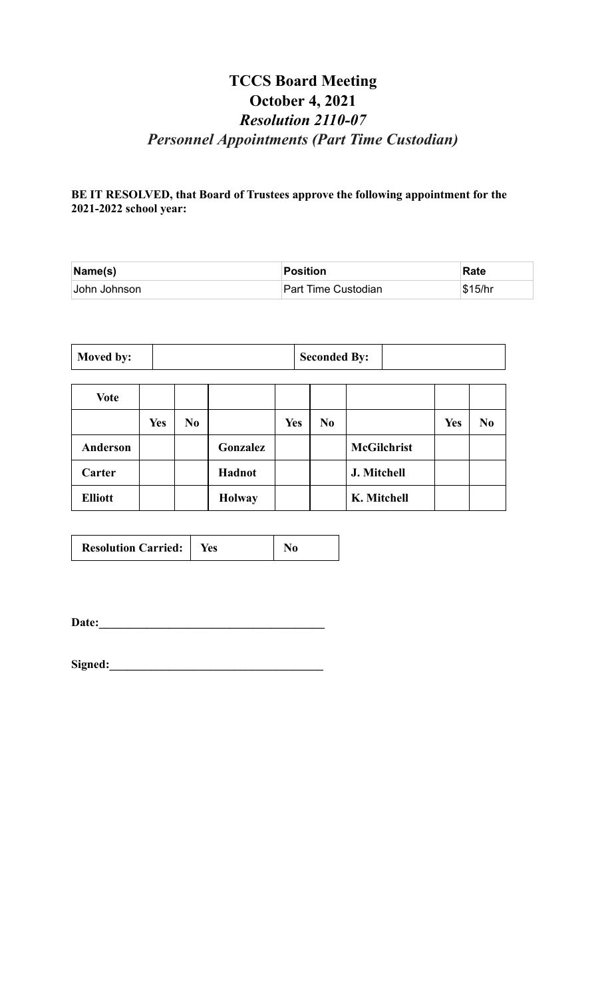### **TCCS Board Meeting October 4, 2021** *Resolution 2110-07 Personnel Appointments (Part Time Custodian)*

#### **BE IT RESOLVED, that Board of Trustees approve the following appointment for the 2021-2022 school year:**

| $\mathsf{Name}(\mathsf{s})$ | Position            | Rate    |
|-----------------------------|---------------------|---------|
| John Johnson                | Part Time Custodian | \$15/hr |

| Moved by: |  | Seconded By: |  |
|-----------|--|--------------|--|
|-----------|--|--------------|--|

| Vote           |            |                |               |            |                |                    |            |                |
|----------------|------------|----------------|---------------|------------|----------------|--------------------|------------|----------------|
|                | <b>Yes</b> | N <sub>0</sub> |               | <b>Yes</b> | N <sub>0</sub> |                    | <b>Yes</b> | N <sub>0</sub> |
| Anderson       |            |                | Gonzalez      |            |                | <b>McGilchrist</b> |            |                |
| Carter         |            |                | Hadnot        |            |                | J. Mitchell        |            |                |
| <b>Elliott</b> |            |                | <b>Holway</b> |            |                | K. Mitchell        |            |                |

| <b>Resolution Carried:</b>   Yes |  | N <sub>0</sub> |
|----------------------------------|--|----------------|
|----------------------------------|--|----------------|

**Date:\_\_\_\_\_\_\_\_\_\_\_\_\_\_\_\_\_\_\_\_\_\_\_\_\_\_\_\_\_\_\_\_\_\_\_\_\_\_**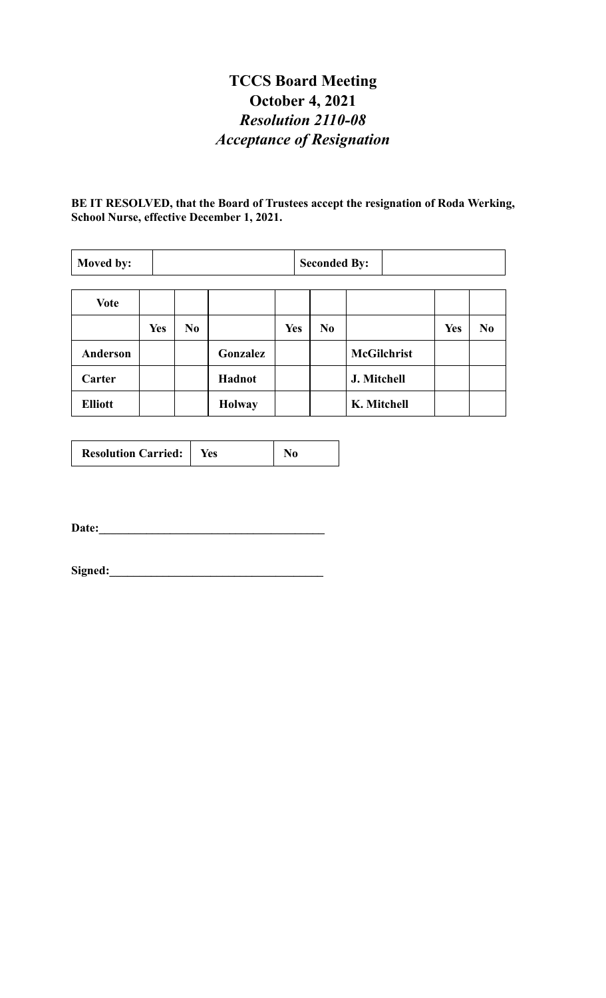# **TCCS Board Meeting October 4, 2021** *Resolution 2110-08 Acceptance of Resignation*

**BE IT RESOLVED, that the Board of Trustees accept the resignation of Roda Werking, School Nurse, effective December 1, 2021.**

| Moved by:       |            | <b>Seconded By:</b> |               |            |                |                    |            |                |
|-----------------|------------|---------------------|---------------|------------|----------------|--------------------|------------|----------------|
| <b>Vote</b>     |            |                     |               |            |                |                    |            |                |
|                 | <b>Yes</b> | N <sub>0</sub>      |               | <b>Yes</b> | N <sub>0</sub> |                    | <b>Yes</b> | N <sub>0</sub> |
| <b>Anderson</b> |            |                     | Gonzalez      |            |                | <b>McGilchrist</b> |            |                |
| Carter          |            |                     | Hadnot        |            |                | J. Mitchell        |            |                |
| <b>Elliott</b>  |            |                     | <b>Holway</b> |            |                | K. Mitchell        |            |                |

| <b>Resolution Carried:</b><br>Yes |  |  |  |
|-----------------------------------|--|--|--|
|-----------------------------------|--|--|--|

Date: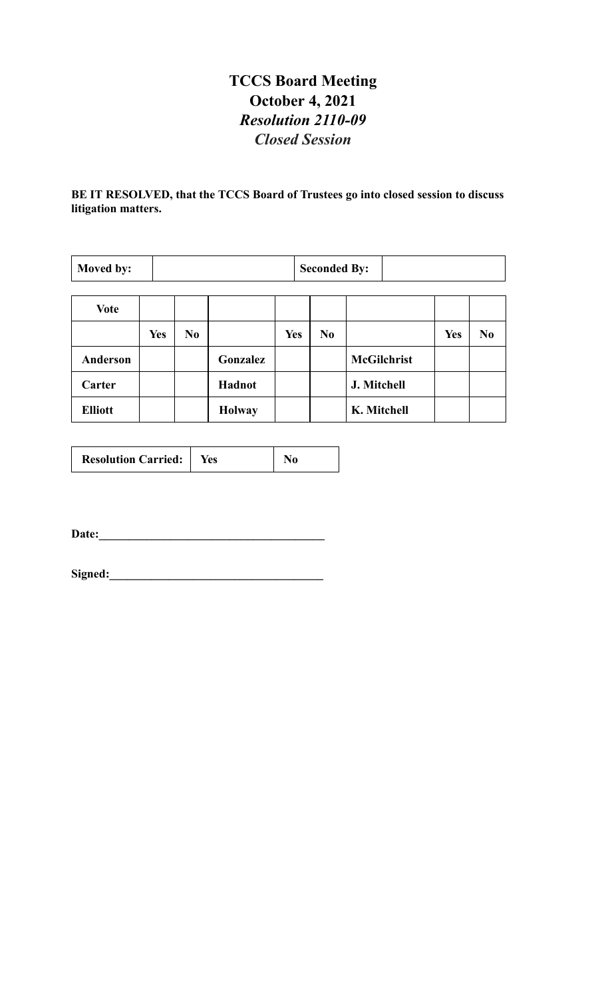### **TCCS Board Meeting October 4, 2021** *Resolution 2110-09 Closed Session*

**BE IT RESOLVED, that the TCCS Board of Trustees go into closed session to discuss litigation matters.**

| Moved by:      |            | <b>Seconded By:</b> |               |            |                |                    |            |                |
|----------------|------------|---------------------|---------------|------------|----------------|--------------------|------------|----------------|
| <b>Vote</b>    |            |                     |               |            |                |                    |            |                |
|                | <b>Yes</b> | N <sub>0</sub>      |               | <b>Yes</b> | N <sub>0</sub> |                    | <b>Yes</b> | N <sub>0</sub> |
| Anderson       |            |                     | Gonzalez      |            |                | <b>McGilchrist</b> |            |                |
| Carter         |            |                     | Hadnot        |            |                | J. Mitchell        |            |                |
| <b>Elliott</b> |            |                     | <b>Holway</b> |            |                | K. Mitchell        |            |                |

| <b>Resolution Carried:</b> | Yes |  |
|----------------------------|-----|--|
|----------------------------|-----|--|

**Date:\_\_\_\_\_\_\_\_\_\_\_\_\_\_\_\_\_\_\_\_\_\_\_\_\_\_\_\_\_\_\_\_\_\_\_\_\_\_**